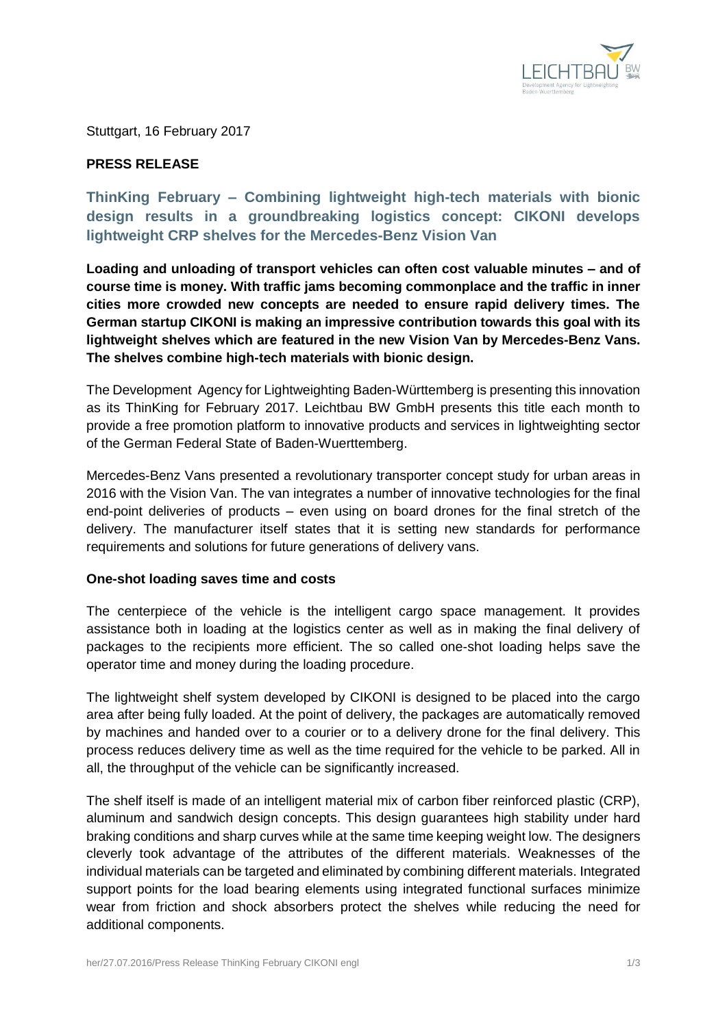

Stuttgart, 16 February 2017

# **PRESS RELEASE**

**ThinKing February – Combining lightweight high-tech materials with bionic design results in a groundbreaking logistics concept: CIKONI develops lightweight CRP shelves for the Mercedes-Benz Vision Van**

**Loading and unloading of transport vehicles can often cost valuable minutes – and of course time is money. With traffic jams becoming commonplace and the traffic in inner cities more crowded new concepts are needed to ensure rapid delivery times. The German startup CIKONI is making an impressive contribution towards this goal with its lightweight shelves which are featured in the new Vision Van by Mercedes-Benz Vans. The shelves combine high-tech materials with bionic design.**

The Development Agency for Lightweighting Baden-Württemberg is presenting this innovation as its ThinKing for February 2017. Leichtbau BW GmbH presents this title each month to provide a free promotion platform to innovative products and services in lightweighting sector of the German Federal State of Baden-Wuerttemberg.

Mercedes-Benz Vans presented a revolutionary transporter concept study for urban areas in 2016 with the Vision Van. The van integrates a number of innovative technologies for the final end-point deliveries of products – even using on board drones for the final stretch of the delivery. The manufacturer itself states that it is setting new standards for performance requirements and solutions for future generations of delivery vans.

# **One-shot loading saves time and costs**

The centerpiece of the vehicle is the intelligent cargo space management. It provides assistance both in loading at the logistics center as well as in making the final delivery of packages to the recipients more efficient. The so called one-shot loading helps save the operator time and money during the loading procedure.

The lightweight shelf system developed by CIKONI is designed to be placed into the cargo area after being fully loaded. At the point of delivery, the packages are automatically removed by machines and handed over to a courier or to a delivery drone for the final delivery. This process reduces delivery time as well as the time required for the vehicle to be parked. All in all, the throughput of the vehicle can be significantly increased.

The shelf itself is made of an intelligent material mix of carbon fiber reinforced plastic (CRP), aluminum and sandwich design concepts. This design guarantees high stability under hard braking conditions and sharp curves while at the same time keeping weight low. The designers cleverly took advantage of the attributes of the different materials. Weaknesses of the individual materials can be targeted and eliminated by combining different materials. Integrated support points for the load bearing elements using integrated functional surfaces minimize wear from friction and shock absorbers protect the shelves while reducing the need for additional components.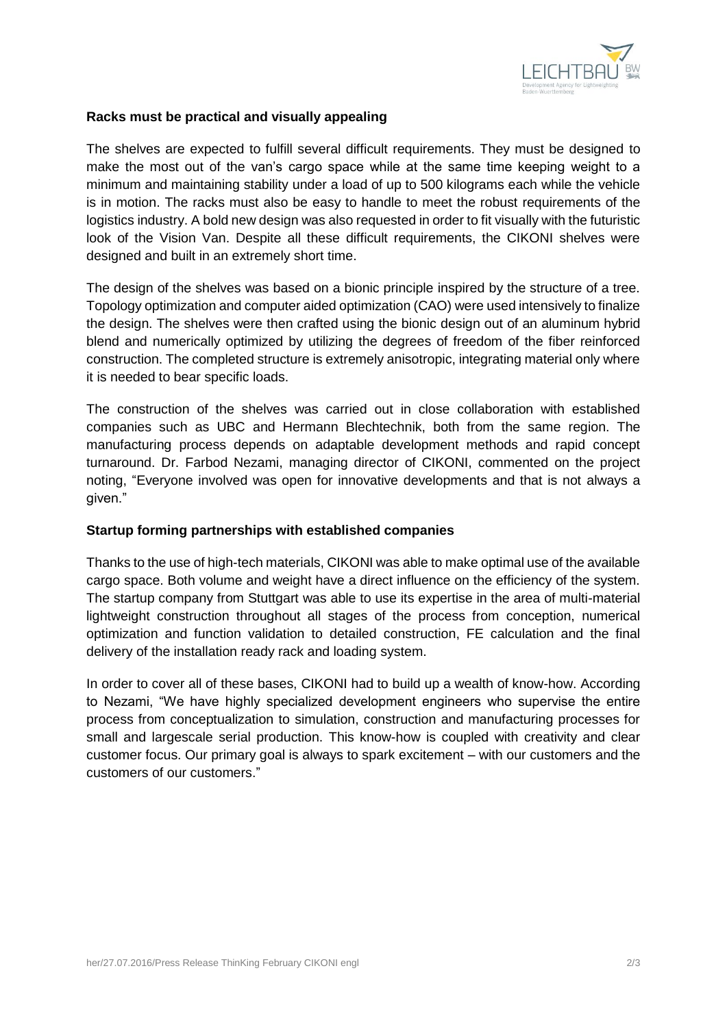

# **Racks must be practical and visually appealing**

The shelves are expected to fulfill several difficult requirements. They must be designed to make the most out of the van's cargo space while at the same time keeping weight to a minimum and maintaining stability under a load of up to 500 kilograms each while the vehicle is in motion. The racks must also be easy to handle to meet the robust requirements of the logistics industry. A bold new design was also requested in order to fit visually with the futuristic look of the Vision Van. Despite all these difficult requirements, the CIKONI shelves were designed and built in an extremely short time.

The design of the shelves was based on a bionic principle inspired by the structure of a tree. Topology optimization and computer aided optimization (CAO) were used intensively to finalize the design. The shelves were then crafted using the bionic design out of an aluminum hybrid blend and numerically optimized by utilizing the degrees of freedom of the fiber reinforced construction. The completed structure is extremely anisotropic, integrating material only where it is needed to bear specific loads.

The construction of the shelves was carried out in close collaboration with established companies such as UBC and Hermann Blechtechnik, both from the same region. The manufacturing process depends on adaptable development methods and rapid concept turnaround. Dr. Farbod Nezami, managing director of CIKONI, commented on the project noting, "Everyone involved was open for innovative developments and that is not always a given."

# **Startup forming partnerships with established companies**

Thanks to the use of high-tech materials, CIKONI was able to make optimal use of the available cargo space. Both volume and weight have a direct influence on the efficiency of the system. The startup company from Stuttgart was able to use its expertise in the area of multi-material lightweight construction throughout all stages of the process from conception, numerical optimization and function validation to detailed construction, FE calculation and the final delivery of the installation ready rack and loading system.

In order to cover all of these bases, CIKONI had to build up a wealth of know-how. According to Nezami, "We have highly specialized development engineers who supervise the entire process from conceptualization to simulation, construction and manufacturing processes for small and largescale serial production. This know-how is coupled with creativity and clear customer focus. Our primary goal is always to spark excitement – with our customers and the customers of our customers."